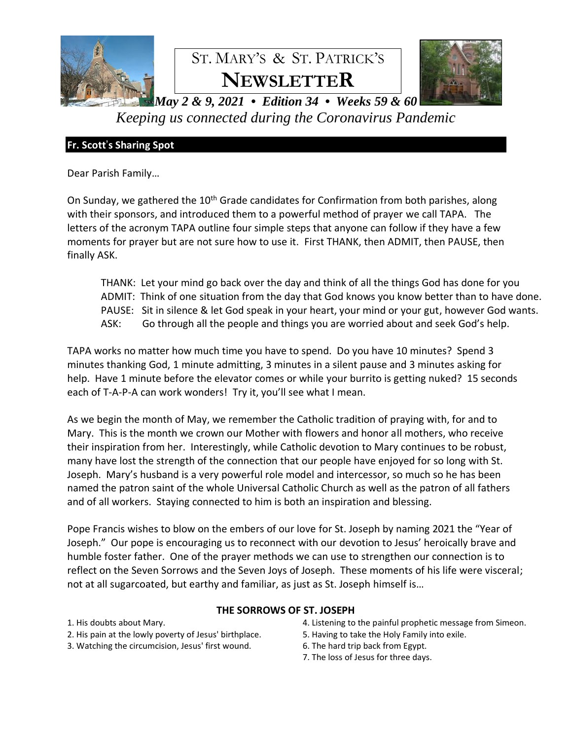

*Keeping us connected during the Coronavirus Pandemic*

## **Fr. Scott**'**s Sharing Spot**

Dear Parish Family…

On Sunday, we gathered the 10<sup>th</sup> Grade candidates for Confirmation from both parishes, along with their sponsors, and introduced them to a powerful method of prayer we call TAPA. The letters of the acronym TAPA outline four simple steps that anyone can follow if they have a few moments for prayer but are not sure how to use it. First THANK, then ADMIT, then PAUSE, then finally ASK.

THANK: Let your mind go back over the day and think of all the things God has done for you ADMIT: Think of one situation from the day that God knows you know better than to have done. PAUSE: Sit in silence & let God speak in your heart, your mind or your gut, however God wants. ASK: Go through all the people and things you are worried about and seek God's help.

TAPA works no matter how much time you have to spend. Do you have 10 minutes? Spend 3 minutes thanking God, 1 minute admitting, 3 minutes in a silent pause and 3 minutes asking for help. Have 1 minute before the elevator comes or while your burrito is getting nuked? 15 seconds each of T-A-P-A can work wonders! Try it, you'll see what I mean.

As we begin the month of May, we remember the Catholic tradition of praying with, for and to Mary. This is the month we crown our Mother with flowers and honor all mothers, who receive their inspiration from her. Interestingly, while Catholic devotion to Mary continues to be robust, many have lost the strength of the connection that our people have enjoyed for so long with St. Joseph. Mary's husband is a very powerful role model and intercessor, so much so he has been named the patron saint of the whole Universal Catholic Church as well as the patron of all fathers and of all workers. Staying connected to him is both an inspiration and blessing.

Pope Francis wishes to blow on the embers of our love for St. Joseph by naming 2021 the "Year of Joseph." Our pope is encouraging us to reconnect with our devotion to Jesus' heroically brave and humble foster father. One of the prayer methods we can use to strengthen our connection is to reflect on the Seven Sorrows and the Seven Joys of Joseph. These moments of his life were visceral; not at all sugarcoated, but earthy and familiar, as just as St. Joseph himself is…

## **THE SORROWS OF ST. JOSEPH**

1. His doubts about Mary.

- 2. His pain at the lowly poverty of Jesus' birthplace.
- 3. Watching the circumcision, Jesus' first wound.
- 4. Listening to the painful prophetic message from Simeon.
- 5. Having to take the Holy Family into exile.
- 6. The hard trip back from Egypt.
- 7. The loss of Jesus for three days.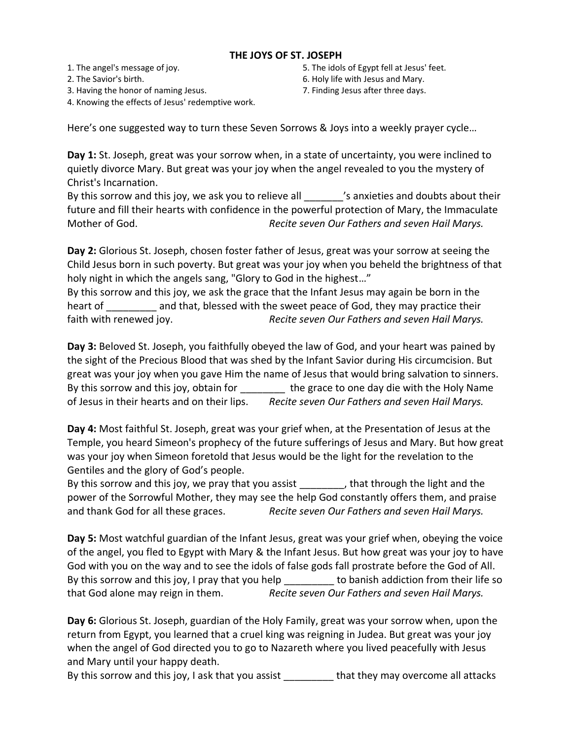#### **THE JOYS OF ST. JOSEPH**

1. The angel's message of joy.

- 2. The Savior's birth.
- 3. Having the honor of naming Jesus.
- 5. The idols of Egypt fell at Jesus' feet.
- 6. Holy life with Jesus and Mary.
- 7. Finding Jesus after three days.

4. Knowing the effects of Jesus' redemptive work.

Here's one suggested way to turn these Seven Sorrows & Joys into a weekly prayer cycle…

**Day 1:** St. Joseph, great was your sorrow when, in a state of uncertainty, you were inclined to quietly divorce Mary. But great was your joy when the angel revealed to you the mystery of Christ's Incarnation.

By this sorrow and this joy, we ask you to relieve all standing is anxieties and doubts about their future and fill their hearts with confidence in the powerful protection of Mary, the Immaculate Mother of God. *Recite seven Our Fathers and seven Hail Marys.* 

**Day 2:** Glorious St. Joseph, chosen foster father of Jesus, great was your sorrow at seeing the Child Jesus born in such poverty. But great was your joy when you beheld the brightness of that holy night in which the angels sang, "Glory to God in the highest…"

By this sorrow and this joy, we ask the grace that the Infant Jesus may again be born in the heart of and that, blessed with the sweet peace of God, they may practice their faith with renewed joy. *Recite seven Our Fathers and seven Hail Marys.* 

**Day 3:** Beloved St. Joseph, you faithfully obeyed the law of God, and your heart was pained by the sight of the Precious Blood that was shed by the Infant Savior during His circumcision. But great was your joy when you gave Him the name of Jesus that would bring salvation to sinners. By this sorrow and this joy, obtain for the grace to one day die with the Holy Name of Jesus in their hearts and on their lips. *Recite seven Our Fathers and seven Hail Marys.* 

**Day 4:** Most faithful St. Joseph, great was your grief when, at the Presentation of Jesus at the Temple, you heard Simeon's prophecy of the future sufferings of Jesus and Mary. But how great was your joy when Simeon foretold that Jesus would be the light for the revelation to the Gentiles and the glory of God's people.

By this sorrow and this joy, we pray that you assist that through the light and the power of the Sorrowful Mother, they may see the help God constantly offers them, and praise and thank God for all these graces. *Recite seven Our Fathers and seven Hail Marys.* 

**Day 5:** Most watchful guardian of the Infant Jesus, great was your grief when, obeying the voice of the angel, you fled to Egypt with Mary & the Infant Jesus. But how great was your joy to have God with you on the way and to see the idols of false gods fall prostrate before the God of All. By this sorrow and this joy, I pray that you help the banish addiction from their life so that God alone may reign in them. *Recite seven Our Fathers and seven Hail Marys.* 

**Day 6:** Glorious St. Joseph, guardian of the Holy Family, great was your sorrow when, upon the return from Egypt, you learned that a cruel king was reigning in Judea. But great was your joy when the angel of God directed you to go to Nazareth where you lived peacefully with Jesus and Mary until your happy death.

By this sorrow and this joy, I ask that you assist **that they may overcome all attacks**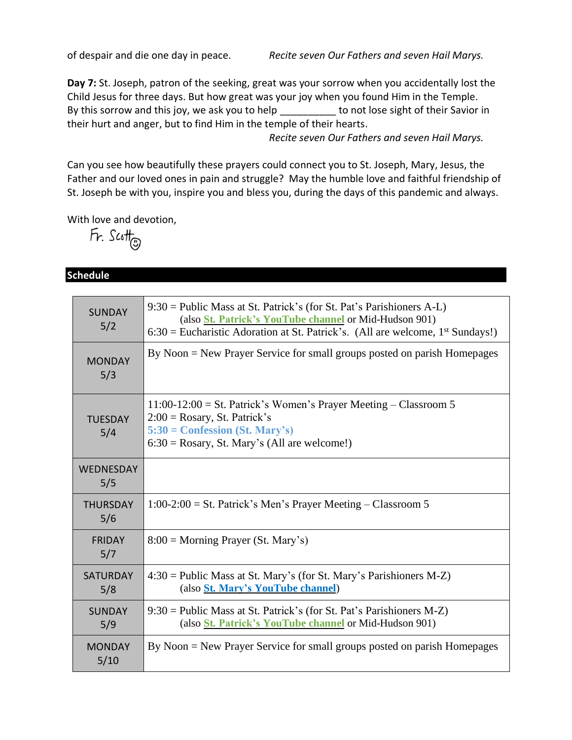of despair and die one day in peace. *Recite seven Our Fathers and seven Hail Marys.* 

**Day 7:** St. Joseph, patron of the seeking, great was your sorrow when you accidentally lost the Child Jesus for three days. But how great was your joy when you found Him in the Temple. By this sorrow and this joy, we ask you to help \_\_\_\_\_\_\_\_\_\_ to not lose sight of their Savior in their hurt and anger, but to find Him in the temple of their hearts.

 *Recite seven Our Fathers and seven Hail Marys.* 

Can you see how beautifully these prayers could connect you to St. Joseph, Mary, Jesus, the Father and our loved ones in pain and struggle? May the humble love and faithful friendship of St. Joseph be with you, inspire you and bless you, during the days of this pandemic and always.

With love and devotion,

 $Fr.$  Scott

## **Schedule**

| <b>SUNDAY</b><br>5/2   | $9:30 =$ Public Mass at St. Patrick's (for St. Pat's Parishioners A-L)<br>(also <i>St. Patrick's YouTube channel or Mid-Hudson 901)</i><br>$6:30$ = Eucharistic Adoration at St. Patrick's. (All are welcome, 1 <sup>st</sup> Sundays!) |
|------------------------|-----------------------------------------------------------------------------------------------------------------------------------------------------------------------------------------------------------------------------------------|
| <b>MONDAY</b><br>5/3   | By Noon = New Prayer Service for small groups posted on parish Homepages                                                                                                                                                                |
| <b>TUESDAY</b><br>5/4  | $11:00-12:00 =$ St. Patrick's Women's Prayer Meeting – Classroom 5<br>$2:00 = Rosary$ , St. Patrick's<br>$5:30 =$ Confession (St. Mary's)<br>$6:30 = Rosary$ , St. Mary's (All are welcome!)                                            |
| WEDNESDAY<br>5/5       |                                                                                                                                                                                                                                         |
| <b>THURSDAY</b><br>5/6 | $1:00-2:00 =$ St. Patrick's Men's Prayer Meeting – Classroom 5                                                                                                                                                                          |
| <b>FRIDAY</b><br>5/7   | $8:00 =$ Morning Prayer (St. Mary's)                                                                                                                                                                                                    |
| <b>SATURDAY</b><br>5/8 | $4:30$ = Public Mass at St. Mary's (for St. Mary's Parishioners M-Z)<br>(also St. Mary's YouTube channel)                                                                                                                               |
| <b>SUNDAY</b><br>5/9   | $9:30 =$ Public Mass at St. Patrick's (for St. Pat's Parishioners M-Z)<br>(also <i>St. Patrick's YouTube channel or Mid-Hudson 901)</i>                                                                                                 |
| <b>MONDAY</b><br>5/10  | By Noon = New Prayer Service for small groups posted on parish Homepages                                                                                                                                                                |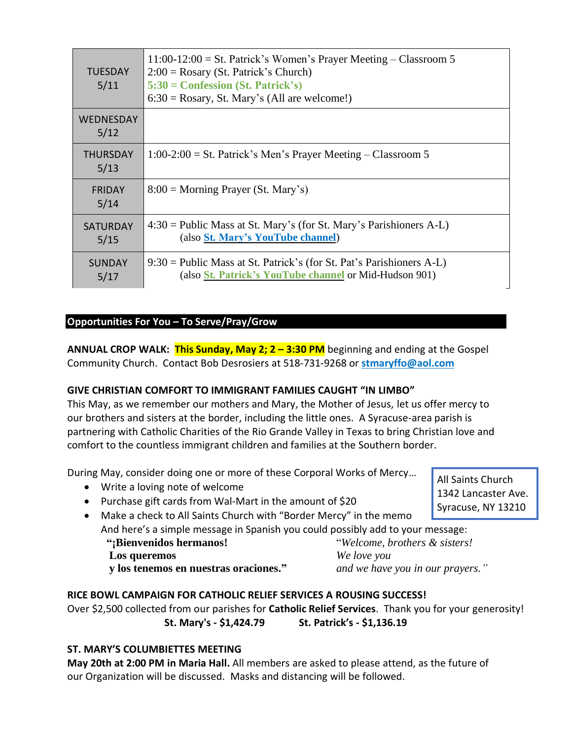| <b>TUESDAY</b><br>5/11   | $11:00-12:00 =$ St. Patrick's Women's Prayer Meeting – Classroom 5<br>$2:00 = Rosary$ (St. Patrick's Church)<br>$5:30 =$ Confession (St. Patrick's)<br>$6:30 = Rosary$ , St. Mary's (All are welcome!) |
|--------------------------|--------------------------------------------------------------------------------------------------------------------------------------------------------------------------------------------------------|
| <b>WEDNESDAY</b><br>5/12 |                                                                                                                                                                                                        |
| <b>THURSDAY</b><br>5/13  | $1:00-2:00 =$ St. Patrick's Men's Prayer Meeting – Classroom 5                                                                                                                                         |
| <b>FRIDAY</b><br>5/14    | $8:00 = \text{Morning } \text{Prayer } (\text{St. } \text{Mary's})$                                                                                                                                    |
| <b>SATURDAY</b><br>5/15  | $4:30$ = Public Mass at St. Mary's (for St. Mary's Parishioners A-L)<br>(also St. Mary's YouTube channel)                                                                                              |
| <b>SUNDAY</b><br>5/17    | $9:30$ = Public Mass at St. Patrick's (for St. Pat's Parishioners A-L)<br>(also <i>St. Patrick's YouTube channel or Mid-Hudson 901)</i>                                                                |

# **Opportunities For You – To Serve/Pray/Grow**

**ANNUAL CROP WALK:** This Sunday, May 2; 2 - 3:30 PM beginning and ending at the Gospel Community Church. Contact Bob Desrosiers at 518-731-9268 or **[stmaryffo@aol.com](mailto:stmaryffo@aol.com)**

## **GIVE CHRISTIAN COMFORT TO IMMIGRANT FAMILIES CAUGHT "IN LIMBO"**

This May, as we remember our mothers and Mary, the Mother of Jesus, let us offer mercy to our brothers and sisters at the border, including the little ones. A Syracuse-area parish is partnering with Catholic Charities of the Rio Grande Valley in Texas to bring Christian love and comfort to the countless immigrant children and families at the Southern border.

During May, consider doing one or more of these Corporal Works of Mercy…

- Write a loving note of welcome
- Purchase gift cards from Wal-Mart in the amount of \$20
- Make a check to All Saints Church with "Border Mercy" in the memo And here's a simple message in Spanish you could possibly add to your message:  **"¡Bienvenidos hermanos!** "*Welcome, brothers & sisters!*

 **Los queremos** *We love you*

 **y los tenemos en nuestras oraciones."** *and we have you in our prayers."*

## **RICE BOWL CAMPAIGN FOR CATHOLIC RELIEF SERVICES A ROUSING SUCCESS!**

Over \$2,500 collected from our parishes for **Catholic Relief Services**. Thank you for your generosity! **St. Mary's - \$1,424.79 St. Patrick's - \$1,136.19**

## **ST. MARY'S COLUMBIETTES MEETING**

**May 20th at 2:00 PM in Maria Hall.** All members are asked to please attend, as the future of our Organization will be discussed. Masks and distancing will be followed.

All Saints Church 1342 Lancaster Ave. Syracuse, NY 13210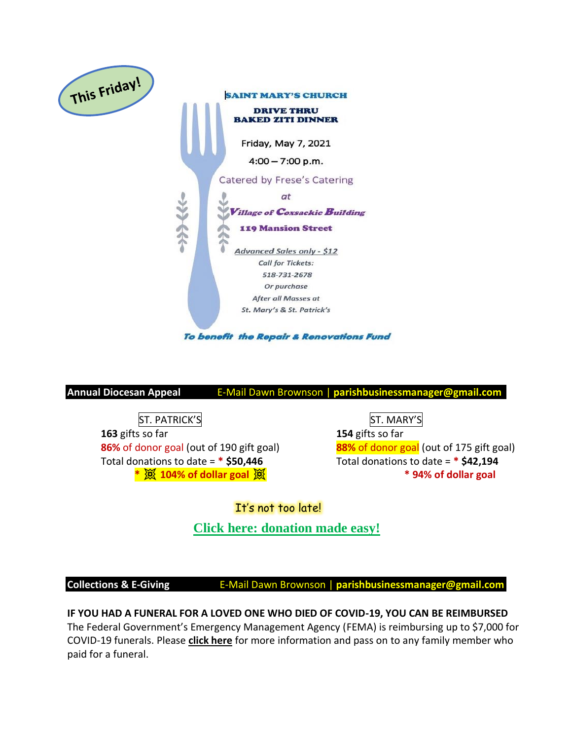

**Annual Diocesan Appeal** E-Mail Dawn Brownson | **parishbusinessmanager@gmail.com**

ST. PATRICK'S IN EXAMPLE ST. MARY'S **163** gifts so far **154** gifts so far Total donations to date = **\* \$50,446** Total donations to date = **\* \$42,194**

**86%** of donor goal (out of 190 gift goal) **88%** of donor goal (out of 175 gift goal) **\* 104% of dollar goal \* 94% of dollar goal**

# It's not too late!

**[Click here: donation made easy!](https://donate.thebishopsappeal.org/)**

**Collections & E-Giving <b>E-Mail Dawn Brownson** | parishbusinessmanager@gmail.com

**IF YOU HAD A FUNERAL FOR A LOVED ONE WHO DIED OF COVID-19, YOU CAN BE REIMBURSED** The Federal Government's Emergency Management Agency (FEMA) is reimbursing up to \$7,000 for COVID-19 funerals. Please **[click here](https://www.fema.gov/disasters/coronavirus/economic/funeral-assistance)** for more information and pass on to any family member who paid for a funeral.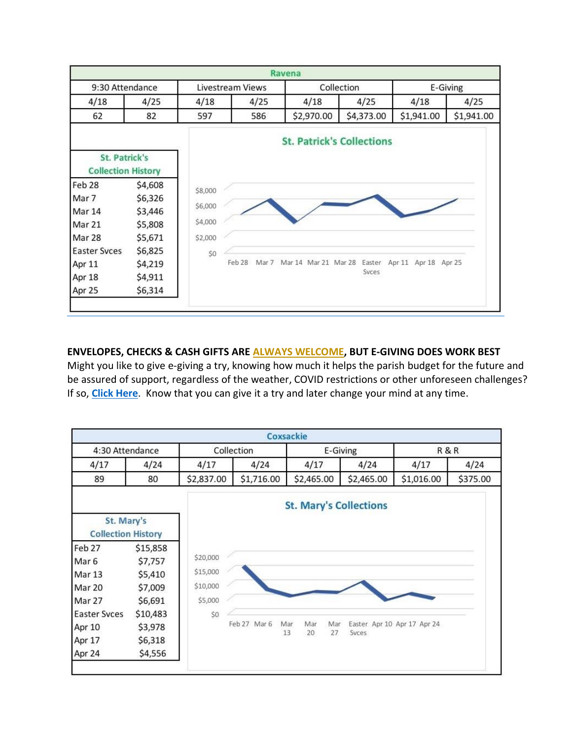

## **ENVELOPES, CHECKS & CASH GIFTS ARE ALWAYS WELCOME, BUT E-GIVING DOES WORK BEST**

Might you like to give e-giving a try, knowing how much it helps the parish budget for the future and be assured of support, regardless of the weather, COVID restrictions or other unforeseen challenges? If so, **[Click Here](https://docs.google.com/forms/d/e/1FAIpQLSfPDkNMWeHBdAon9_JenUdoVQ6vQbqpu0cYd2Ww0QFwtxwS7A/viewform)**. Know that you can give it a try and later change your mind at any time.

|                                         |          |            |              | Coxsackie  |          |                               |                             |          |  |
|-----------------------------------------|----------|------------|--------------|------------|----------|-------------------------------|-----------------------------|----------|--|
| 4:30 Attendance                         |          | Collection |              |            | E-Giving |                               |                             | R&R      |  |
| 4/17                                    | 4/24     | 4/17       | 4/24         | 4/17       |          | 4/24                          | 4/17                        | 4/24     |  |
| 89                                      | 80       | \$2,837.00 | \$1,716.00   | \$2,465.00 |          | \$2,465.00                    | \$1,016.00                  | \$375.00 |  |
|                                         |          |            |              |            |          | <b>St. Mary's Collections</b> |                             |          |  |
| St. Mary's<br><b>Collection History</b> |          |            |              |            |          |                               |                             |          |  |
| Feb 27                                  | \$15,858 |            |              |            |          |                               |                             |          |  |
| Mar <sub>6</sub>                        | \$7,757  | \$20,000   |              |            |          |                               |                             |          |  |
| Mar 13                                  | \$5,410  | \$15,000   |              |            |          |                               |                             |          |  |
| Mar 20                                  | \$7,009  | \$10,000   |              |            |          |                               |                             |          |  |
| Mar 27                                  | \$6,691  | \$5,000    |              |            |          |                               |                             |          |  |
| <b>Easter Svces</b>                     | \$10,483 | \$0        |              |            |          |                               |                             |          |  |
| Apr 10                                  | \$3,978  |            | Feb 27 Mar 6 | Mar<br>Mar | Mar      |                               | Easter Apr 10 Apr 17 Apr 24 |          |  |
| Apr 17                                  | \$6,318  |            |              | 13<br>20   | 27       | Syces                         |                             |          |  |
| Apr 24                                  | \$4,556  |            |              |            |          |                               |                             |          |  |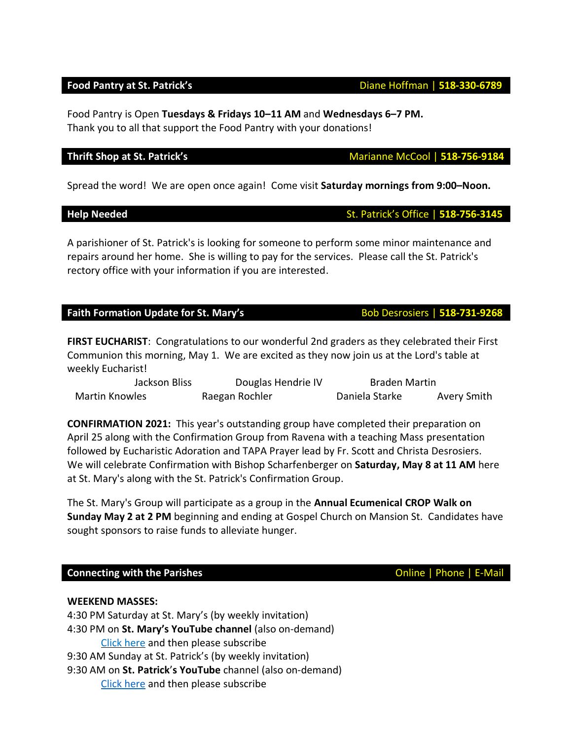Food Pantry is Open **Tuesdays & Fridays 10–11 AM** and **Wednesdays 6–7 PM.**  Thank you to all that support the Food Pantry with your donations!

Spread the word! We are open once again! Come visit **Saturday mornings from 9:00–Noon.**

## **Help Needed** St. Patrick's Office | **518-756-3145**

A parishioner of St. Patrick's is looking for someone to perform some minor maintenance and repairs around her home. She is willing to pay for the services. Please call the St. Patrick's rectory office with your information if you are interested.

## **Faith Formation Update for St. Mary's** Bob Desrosiers | 518-731-9268

**FIRST EUCHARIST**: Congratulations to our wonderful 2nd graders as they celebrated their First Communion this morning, May 1. We are excited as they now join us at the Lord's table at weekly Eucharist!

| Jackson Bliss         | Douglas Hendrie IV | <b>Braden Martin</b> |             |
|-----------------------|--------------------|----------------------|-------------|
| <b>Martin Knowles</b> | Raegan Rochler     | Daniela Starke       | Avery Smith |

**CONFIRMATION 2021:** This year's outstanding group have completed their preparation on April 25 along with the Confirmation Group from Ravena with a teaching Mass presentation followed by Eucharistic Adoration and TAPA Prayer lead by Fr. Scott and Christa Desrosiers. We will celebrate Confirmation with Bishop Scharfenberger on **Saturday, May 8 at 11 AM** here at St. Mary's along with the St. Patrick's Confirmation Group.

The St. Mary's Group will participate as a group in the **Annual Ecumenical CROP Walk on Sunday May 2 at 2 PM** beginning and ending at Gospel Church on Mansion St. Candidates have sought sponsors to raise funds to alleviate hunger.

## **Connecting with the Parishes Connecting with the Parishes Connecting With the Parishes**

**WEEKEND MASSES:**

4:30 PM Saturday at St. Mary's (by weekly invitation) 4:30 PM on **St. Mary's YouTube channel** (also on-demand) Click [here](https://www.youtube.com/channel/UCfROBLJIztwzZryPen47Yig/featured) and then please subscribe 9:30 AM Sunday at St. Patrick's (by weekly invitation) 9:30 AM on **St. Patrick**'**s YouTube** channel (also on-demand) Click [here](https://www.youtube.com/channel/UCIRr4Mwue0TdsuS3HtWm4DA) and then please subscribe

## **Thrift Shop at St. Patrick's** Marianne McCool | 518-756-9184

**Food Pantry at St. Patrick's Diane Hoffman | 518-330-6789**